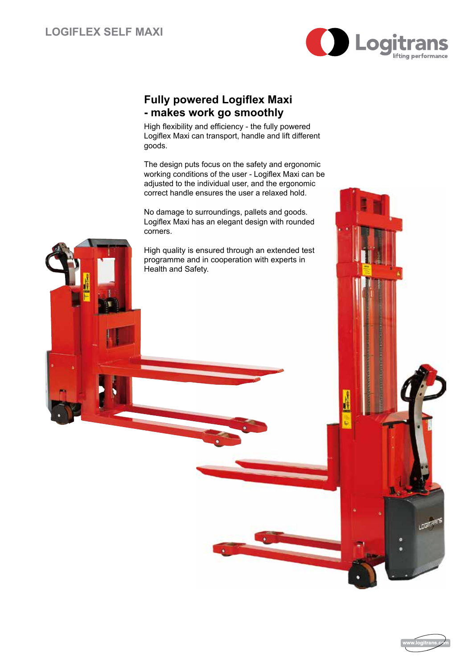

## **Fully powered Logiflex Maxi - makes work go smoothly**

High flexibility and efficiency - the fully powered Logiflex Maxi can transport, handle and lift different goods.

The design puts focus on the safety and ergonomic working conditions of the user - Logiflex Maxi can be adjusted to the individual user, and the ergonomic correct handle ensures the user a relaxed hold.

No damage to surroundings, pallets and goods. Logiflex Maxi has an elegant design with rounded corners.

High quality is ensured through an extended test programme and in cooperation with experts in Health and Safety.



**LOGITAR**